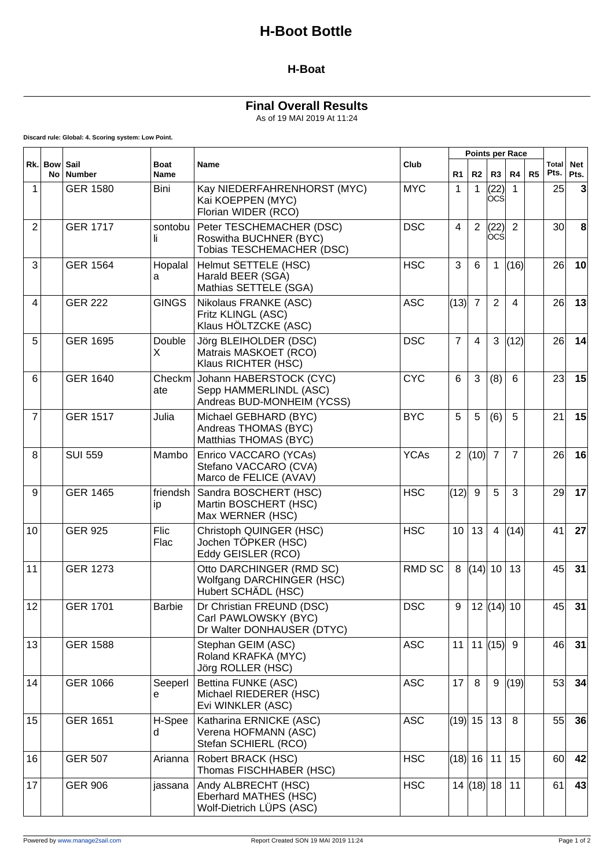# **H-Boot Bottle**

#### **H-Boat**

### **Final Overall Results**

As of 19 MAI 2019 At 11:24

 $\top$ 

 $\top$ 

 $\overline{\mathbf{r}}$ 

 $\overline{\phantom{a}}$ 

 $\overline{\phantom{0}}$ 

**Discard rule: Global: 4. Scoring system: Low Point.**

 $\mathsf{r}$ 

| Rk. Bow        |    | Sail<br><b>Number</b> | <b>Boat</b><br><b>Name</b> | <b>Name</b>                                                                     | Club          |                | <b>Points per Race</b> |                    |                |    |                      |                    |
|----------------|----|-----------------------|----------------------------|---------------------------------------------------------------------------------|---------------|----------------|------------------------|--------------------|----------------|----|----------------------|--------------------|
|                | No |                       |                            |                                                                                 |               | R <sub>1</sub> | R2                     | R3                 | R4             | R5 | <b>Total</b><br>Pts. | <b>Net</b><br>Pts. |
| $\overline{1}$ |    | <b>GER 1580</b>       | Bini                       | Kay NIEDERFAHRENHORST (MYC)<br>Kai KOEPPEN (MYC)<br>Florian WIDER (RCO)         | <b>MYC</b>    | 1              | 1                      | (22)<br>ocsl       | 1              |    | 25                   | 3                  |
| $\overline{2}$ |    | <b>GER 1717</b>       | sontobu<br>li.             | Peter TESCHEMACHER (DSC)<br>Roswitha BUCHNER (BYC)<br>Tobias TESCHEMACHER (DSC) | <b>DSC</b>    | 4              | $\overline{2}$         | (22)<br><b>OCS</b> | $\overline{2}$ |    | 30 <sup>2</sup>      | 8                  |
| 3              |    | <b>GER 1564</b>       | Hopalal<br>a               | Helmut SETTELE (HSC)<br>Harald BEER (SGA)<br>Mathias SETTELE (SGA)              | <b>HSC</b>    | 3              | 6                      | 1                  | (16)           |    | 26                   | 10                 |
| $\overline{4}$ |    | <b>GER 222</b>        | <b>GINGS</b>               | Nikolaus FRANKE (ASC)<br>Fritz KLINGL (ASC)<br>Klaus HÖLTZCKE (ASC)             | <b>ASC</b>    | (13)           | $\overline{7}$         | 2                  | 4              |    | 26                   | 13                 |
| 5              |    | <b>GER 1695</b>       | Double<br>X                | Jörg BLEIHOLDER (DSC)<br>Matrais MASKOET (RCO)<br>Klaus RICHTER (HSC)           | <b>DSC</b>    | $\overline{7}$ | 4                      | 3                  | (12)           |    | 26                   | 14                 |
| 6              |    | <b>GER 1640</b>       | Checkm<br>ate              | Johann HABERSTOCK (CYC)<br>Sepp HAMMERLINDL (ASC)<br>Andreas BUD-MONHEIM (YCSS) | <b>CYC</b>    | 6              | 3                      | (8)                | 6              |    | 23                   | 15                 |
| $\overline{7}$ |    | <b>GER 1517</b>       | Julia                      | Michael GEBHARD (BYC)<br>Andreas THOMAS (BYC)<br>Matthias THOMAS (BYC)          | <b>BYC</b>    | 5              | 5                      | (6)                | 5              |    | 21                   | 15                 |
| 8              |    | <b>SUI 559</b>        | Mambo                      | Enrico VACCARO (YCAs)<br>Stefano VACCARO (CVA)<br>Marco de FELICE (AVAV)        | <b>YCAs</b>   | $\overline{2}$ | (10)                   | $\overline{7}$     | $\overline{7}$ |    | 26                   | 16                 |
| 9              |    | <b>GER 1465</b>       | friendsh<br>ip             | Sandra BOSCHERT (HSC)<br>Martin BOSCHERT (HSC)<br>Max WERNER (HSC)              | <b>HSC</b>    | (12)           | 9                      | 5                  | 3              |    | 29                   | 17                 |
| 10             |    | <b>GER 925</b>        | Flic<br>Flac               | Christoph QUINGER (HSC)<br>Jochen TÖPKER (HSC)<br>Eddy GEISLER (RCO)            | <b>HSC</b>    | 10             | 13                     | 4                  | (14)           |    | 41                   | 27                 |
| 11             |    | <b>GER 1273</b>       |                            | Otto DARCHINGER (RMD SC)<br>Wolfgang DARCHINGER (HSC)<br>Hubert SCHÄDL (HSC)    | <b>RMD SC</b> | 8              | (14)                   | 10                 | 13             |    | 45                   | 31                 |
| 12             |    | <b>GER 1701</b>       | <b>Barbie</b>              | Dr Christian FREUND (DSC)<br>Carl PAWLOWSKY (BYC)<br>Dr Walter DONHAUSER (DTYC) | <b>DSC</b>    | 9              |                        | 12  (14)  10       |                |    | 45                   | 31                 |
| 13             |    | <b>GER 1588</b>       |                            | Stephan GEIM (ASC)<br>Roland KRAFKA (MYC)<br>Jörg ROLLER (HSC)                  | <b>ASC</b>    | 11             |                        | 11  (15)  9        |                |    | 46                   | 31                 |
| 14             |    | <b>GER 1066</b>       | Seeperl<br>e               | Bettina FUNKE (ASC)<br>Michael RIEDERER (HSC)<br>Evi WINKLER (ASC)              | <b>ASC</b>    | 17             | 8                      | 9                  | (19)           |    | 53                   | 34                 |
| 15             |    | <b>GER 1651</b>       | H-Spee<br>d                | Katharina ERNICKE (ASC)<br>Verena HOFMANN (ASC)<br>Stefan SCHIERL (RCO)         | <b>ASC</b>    | (19) 15        |                        | 13                 | 8              |    | 55                   | 36                 |
| 16             |    | <b>GER 507</b>        | Arianna                    | Robert BRACK (HSC)<br>Thomas FISCHHABER (HSC)                                   | <b>HSC</b>    | (18) 16        |                        | 11                 | 15             |    | 60                   | 42                 |
| 17             |    | <b>GER 906</b>        | jassana                    | Andy ALBRECHT (HSC)<br>Eberhard MATHES (HSC)<br>Wolf-Dietrich LÜPS (ASC)        | <b>HSC</b>    |                | $14$ (18) 18 11        |                    |                |    | 61                   | 43                 |